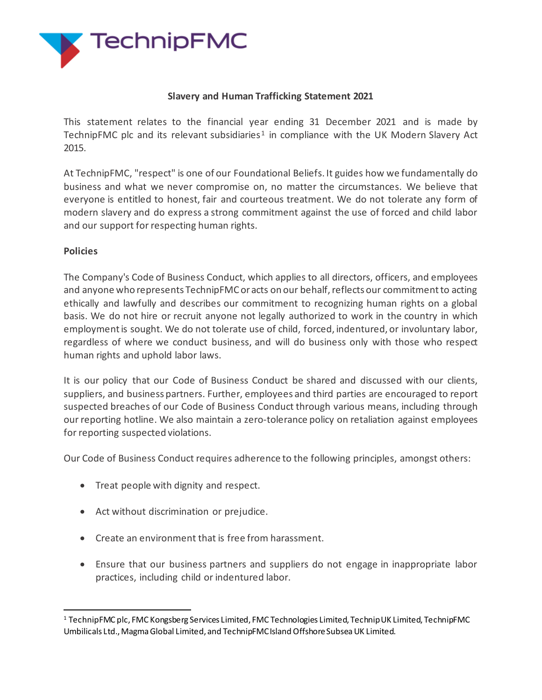

### **Slavery and Human Trafficking Statement 2021**

This statement relates to the financial year ending 31 December 2021 and is made by TechnipFMC plc and its relevant subsidiaries<sup>[1](#page-0-0)</sup> in compliance with the UK Modern Slavery Act 2015.

At TechnipFMC, "respect" is one of our Foundational Beliefs. It guides how we fundamentally do business and what we never compromise on, no matter the circumstances. We believe that everyone is entitled to honest, fair and courteous treatment. We do not tolerate any form of modern slavery and do express a strong commitment against the use of forced and child labor and our support for respecting human rights.

#### **Policies**

The Company's Code of Business Conduct, which applies to all directors, officers, and employees and anyone who represents TechnipFMC or acts on our behalf, reflects our commitment to acting ethically and lawfully and describes our commitment to recognizing human rights on a global basis. We do not hire or recruit anyone not legally authorized to work in the country in which employment is sought. We do not tolerate use of child, forced, indentured, or involuntary labor, regardless of where we conduct business, and will do business only with those who respect human rights and uphold labor laws.

It is our policy that our Code of Business Conduct be shared and discussed with our clients, suppliers, and business partners. Further, employees and third parties are encouraged to report suspected breaches of our Code of Business Conduct through various means, including through our reporting hotline. We also maintain a zero-tolerance policy on retaliation against employees for reporting suspected violations.

Our Code of Business Conduct requires adherence to the following principles, amongst others:

- Treat people with dignity and respect.
- Act without discrimination or prejudice.
- Create an environment that is free from harassment.
- Ensure that our business partners and suppliers do not engage in inappropriate labor practices, including child or indentured labor.

<span id="page-0-0"></span><sup>1</sup> TechnipFMC plc, FMC Kongsberg Services Limited, FMC Technologies Limited, Technip UK Limited, TechnipFMC Umbilicals Ltd., Magma Global Limited, and TechnipFMC Island Offshore Subsea UK Limited.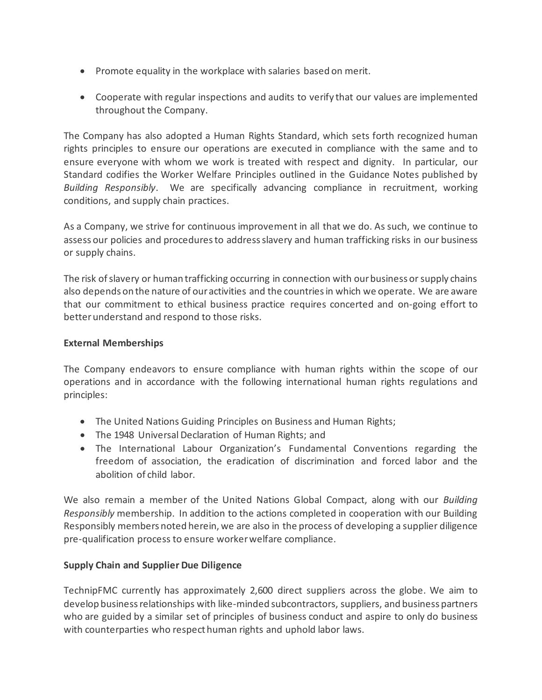- Promote equality in the workplace with salaries based on merit.
- Cooperate with regular inspections and audits to verify that our values are implemented throughout the Company.

The Company has also adopted a Human Rights Standard, which sets forth recognized human rights principles to ensure our operations are executed in compliance with the same and to ensure everyone with whom we work is treated with respect and dignity. In particular, our Standard codifies the Worker Welfare Principles outlined in the Guidance Notes published by *Building Responsibly*. We are specifically advancing compliance in recruitment, working conditions, and supply chain practices.

As a Company, we strive for continuous improvement in all that we do. As such, we continue to assess our policies and procedures to address slavery and human trafficking risks in our business or supply chains.

The risk of slavery or human trafficking occurring in connection with our business or supply chains also depends on the nature of our activities and the countries in which we operate. We are aware that our commitment to ethical business practice requires concerted and on-going effort to better understand and respond to those risks.

## **External Memberships**

The Company endeavors to ensure compliance with human rights within the scope of our operations and in accordance with the following international human rights regulations and principles:

- The United Nations Guiding Principles on Business and Human Rights;
- The 1948 Universal Declaration of Human Rights; and
- The International Labour Organization's Fundamental Conventions regarding the freedom of association, the eradication of discrimination and forced labor and the abolition of child labor.

We also remain a member of the United Nations Global Compact, along with our *Building Responsibly* membership. In addition to the actions completed in cooperation with our Building Responsibly members noted herein, we are also in the process of developing a supplier diligence pre-qualification process to ensure worker welfare compliance.

# **Supply Chain and Supplier Due Diligence**

TechnipFMC currently has approximately 2,600 direct suppliers across the globe. We aim to develop business relationships with like-minded subcontractors, suppliers, and business partners who are guided by a similar set of principles of business conduct and aspire to only do business with counterparties who respect human rights and uphold labor laws.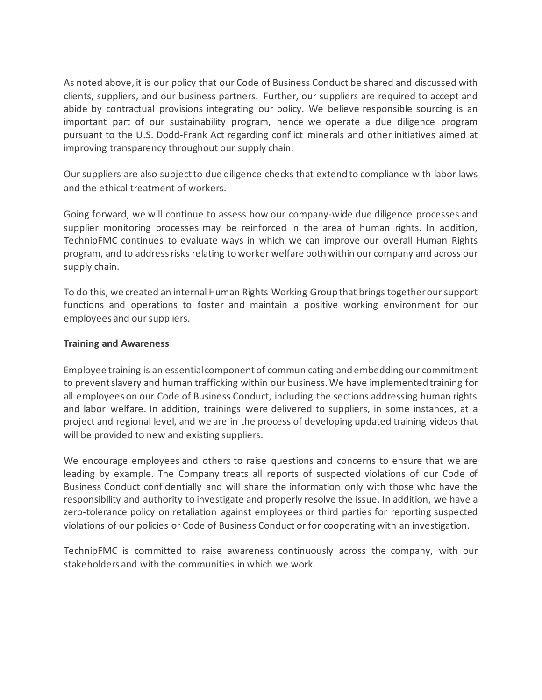As noted above, it is our policy that our Code of Business Conduct be shared and discussed with clients, suppliers, and our business partners. Further, our suppliers are required to accept and abide by contractual provisions integrating our policy. We believe responsible sourcing is an important part of our sustainability program, hence we operate a due diligence program pursuant to the U.S. Dodd-Frank Act regarding conflict minerals and other initiatives aimed at improving transparency throughout our supply chain.

Our suppliers are also subject to due diligence checks that extend to compliance with labor laws and the ethical treatment of workers.

Going forward, we will continue to assess how our company-wide due diligence processes and supplier monitoring processes may be reinforced in the area of human rights. In addition, TechnipFMC continues to evaluate ways in which we can improve our overall Human Rights program, and to address risks relating to worker welfare both within our company and across our supply chain.

To do this, we created an internal Human Rights Working Group that brings together our support functions and operations to foster and maintain a positive working environment for our employees and our suppliers.

### **Training and Awareness**

Employee training is an essential component of communicating and embedding our commitment to prevent slavery and human trafficking within our business. We have implemented training for all employees on our Code of Business Conduct, including the sections addressing human rights and labor welfare. In addition, trainings were delivered to suppliers, in some instances, at a project and regional level, and we are in the process of developing updated training videos that will be provided to new and existing suppliers.

We encourage employees and others to raise questions and concerns to ensure that we are leading by example. The Company treats all reports of suspected violations of our Code of Business Conduct confidentially and will share the information only with those who have the responsibility and authority to investigate and properly resolve the issue. In addition, we have a zero-tolerance policy on retaliation against employees or third parties for reporting suspected violations of our policies or Code of Business Conduct or for cooperating with an investigation.

TechnipFMC is committed to raise awareness continuously across the company, with our stakeholders and with the communities in which we work.